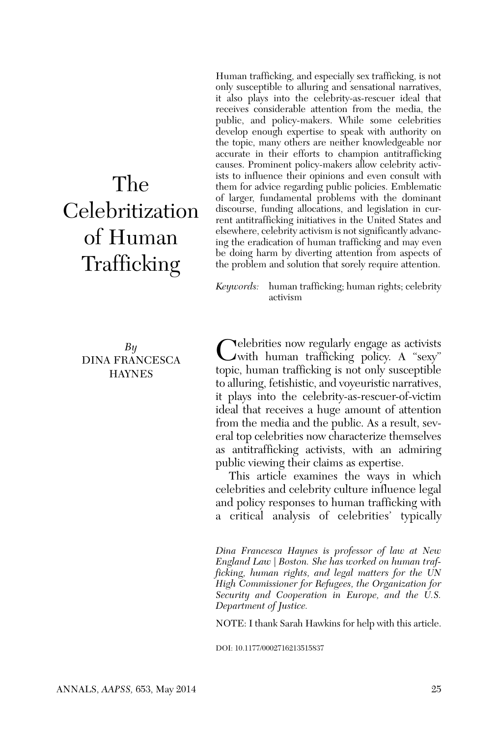# The **Celebritization** of Human Trafficking

*By* DINA FRANCESCA HAYNES

Human trafficking, and especially sex trafficking, is not only susceptible to alluring and sensational narratives, it also plays into the celebrity-as-rescuer ideal that receives considerable attention from the media, the public, and policy-makers. While some celebrities develop enough expertise to speak with authority on the topic, many others are neither knowledgeable nor accurate in their efforts to champion antitrafficking causes. Prominent policy-makers allow celebrity activists to influence their opinions and even consult with them for advice regarding public policies. Emblematic of larger, fundamental problems with the dominant discourse, funding allocations, and legislation in current antitrafficking initiatives in the United States and elsewhere, celebrity activism is not significantly advancing the eradication of human trafficking and may even be doing harm by diverting attention from aspects of the problem and solution that sorely require attention.

*Keywords:* human trafficking; human rights; celebrity activism

Celebrities now regularly engage as activists<br>with human trafficking policy. A "sexy" topic, human trafficking is not only susceptible to alluring, fetishistic, and voyeuristic narratives, it plays into the celebrity-as-rescuer-of-victim ideal that receives a huge amount of attention from the media and the public. As a result, several top celebrities now characterize themselves as antitrafficking activists, with an admiring public viewing their claims as expertise.

This article examines the ways in which celebrities and celebrity culture influence legal and policy responses to human trafficking with a critical analysis of celebrities' typically

*Dina Francesca Haynes is professor of law at New England Law | Boston. She has worked on human trafficking, human rights, and legal matters for the UN High Commissioner for Refugees, the Organization for Security and Cooperation in Europe, and the U.S. Department of Justice.*

NOTE: I thank Sarah Hawkins for help with this article.

DOI: 10.1177/0002716213515837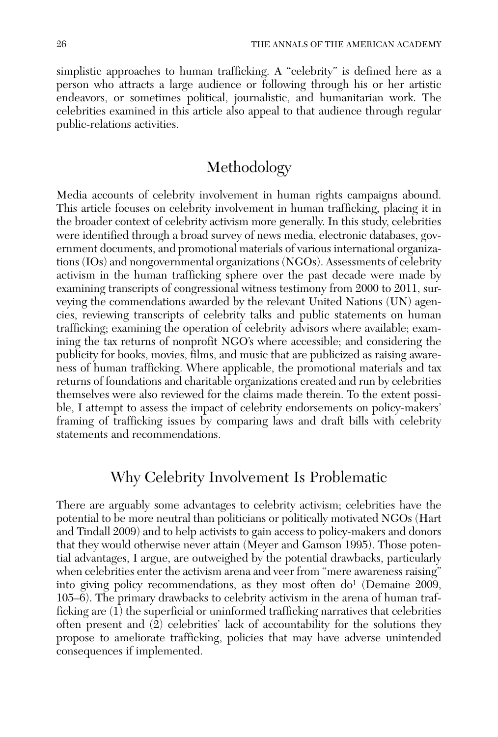simplistic approaches to human trafficking. A "celebrity" is defined here as a person who attracts a large audience or following through his or her artistic endeavors, or sometimes political, journalistic, and humanitarian work. The celebrities examined in this article also appeal to that audience through regular public-relations activities.

# Methodology

Media accounts of celebrity involvement in human rights campaigns abound. This article focuses on celebrity involvement in human trafficking, placing it in the broader context of celebrity activism more generally. In this study, celebrities were identified through a broad survey of news media, electronic databases, government documents, and promotional materials of various international organizations (IOs) and nongovernmental organizations (NGOs). Assessments of celebrity activism in the human trafficking sphere over the past decade were made by examining transcripts of congressional witness testimony from 2000 to 2011, surveying the commendations awarded by the relevant United Nations (UN) agencies, reviewing transcripts of celebrity talks and public statements on human trafficking; examining the operation of celebrity advisors where available; examining the tax returns of nonprofit NGO's where accessible; and considering the publicity for books, movies, films, and music that are publicized as raising awareness of human trafficking. Where applicable, the promotional materials and tax returns of foundations and charitable organizations created and run by celebrities themselves were also reviewed for the claims made therein. To the extent possible, I attempt to assess the impact of celebrity endorsements on policy-makers' framing of trafficking issues by comparing laws and draft bills with celebrity statements and recommendations.

# Why Celebrity Involvement Is Problematic

There are arguably some advantages to celebrity activism; celebrities have the potential to be more neutral than politicians or politically motivated NGOs (Hart and Tindall 2009) and to help activists to gain access to policy-makers and donors that they would otherwise never attain (Meyer and Gamson 1995). Those potential advantages, I argue, are outweighed by the potential drawbacks, particularly when celebrities enter the activism arena and veer from "mere awareness raising" into giving policy recommendations, as they most often  $d_0$ <sup>1</sup> (Demaine 2009, 105–6). The primary drawbacks to celebrity activism in the arena of human trafficking are (1) the superficial or uninformed trafficking narratives that celebrities often present and (2) celebrities' lack of accountability for the solutions they propose to ameliorate trafficking, policies that may have adverse unintended consequences if implemented.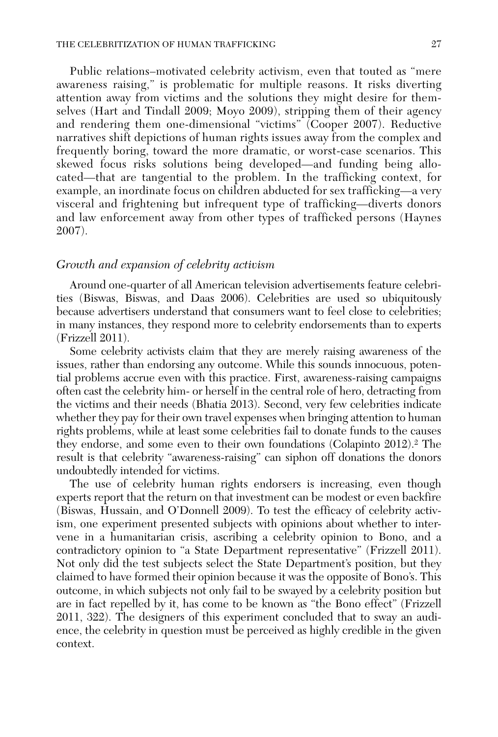Public relations–motivated celebrity activism, even that touted as "mere awareness raising," is problematic for multiple reasons. It risks diverting attention away from victims and the solutions they might desire for themselves (Hart and Tindall 2009; Moyo 2009), stripping them of their agency and rendering them one-dimensional "victims" (Cooper 2007). Reductive narratives shift depictions of human rights issues away from the complex and frequently boring, toward the more dramatic, or worst-case scenarios. This skewed focus risks solutions being developed—and funding being allocated—that are tangential to the problem. In the trafficking context, for example, an inordinate focus on children abducted for sex trafficking—a very visceral and frightening but infrequent type of trafficking—diverts donors and law enforcement away from other types of trafficked persons (Haynes 2007).

#### *Growth and expansion of celebrity activism*

Around one-quarter of all American television advertisements feature celebrities (Biswas, Biswas, and Daas 2006). Celebrities are used so ubiquitously because advertisers understand that consumers want to feel close to celebrities; in many instances, they respond more to celebrity endorsements than to experts (Frizzell 2011).

Some celebrity activists claim that they are merely raising awareness of the issues, rather than endorsing any outcome. While this sounds innocuous, potential problems accrue even with this practice. First, awareness-raising campaigns often cast the celebrity him- or herself in the central role of hero, detracting from the victims and their needs (Bhatia 2013). Second, very few celebrities indicate whether they pay for their own travel expenses when bringing attention to human rights problems, while at least some celebrities fail to donate funds to the causes they endorse, and some even to their own foundations (Colapinto 2012).2 The result is that celebrity "awareness-raising" can siphon off donations the donors undoubtedly intended for victims.

The use of celebrity human rights endorsers is increasing, even though experts report that the return on that investment can be modest or even backfire (Biswas, Hussain, and O'Donnell 2009). To test the efficacy of celebrity activism, one experiment presented subjects with opinions about whether to intervene in a humanitarian crisis, ascribing a celebrity opinion to Bono, and a contradictory opinion to "a State Department representative" (Frizzell 2011). Not only did the test subjects select the State Department's position, but they claimed to have formed their opinion because it was the opposite of Bono's. This outcome, in which subjects not only fail to be swayed by a celebrity position but are in fact repelled by it, has come to be known as "the Bono effect" (Frizzell 2011, 322). The designers of this experiment concluded that to sway an audience, the celebrity in question must be perceived as highly credible in the given context.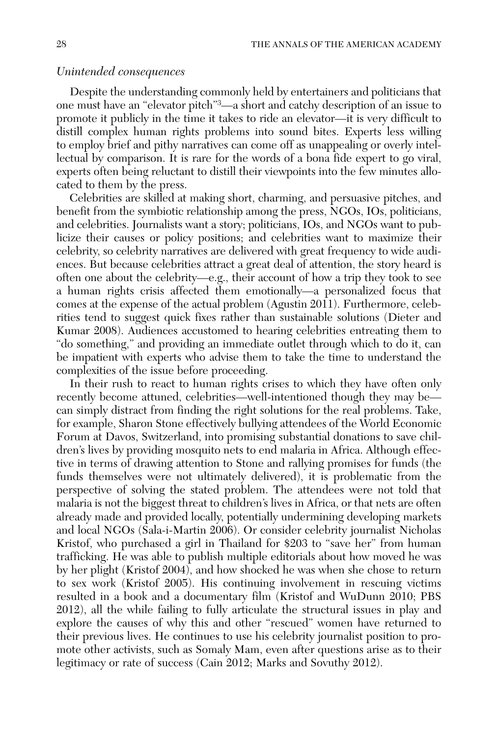#### *Unintended consequences*

Despite the understanding commonly held by entertainers and politicians that one must have an "elevator pitch"3—a short and catchy description of an issue to promote it publicly in the time it takes to ride an elevator—it is very difficult to distill complex human rights problems into sound bites. Experts less willing to employ brief and pithy narratives can come off as unappealing or overly intellectual by comparison. It is rare for the words of a bona fide expert to go viral, experts often being reluctant to distill their viewpoints into the few minutes allocated to them by the press.

Celebrities are skilled at making short, charming, and persuasive pitches, and benefit from the symbiotic relationship among the press, NGOs, IOs, politicians, and celebrities. Journalists want a story; politicians, IOs, and NGOs want to publicize their causes or policy positions; and celebrities want to maximize their celebrity, so celebrity narratives are delivered with great frequency to wide audiences. But because celebrities attract a great deal of attention, the story heard is often one about the celebrity—e.g., their account of how a trip they took to see a human rights crisis affected them emotionally—a personalized focus that comes at the expense of the actual problem (Agustin 2011). Furthermore, celebrities tend to suggest quick fixes rather than sustainable solutions (Dieter and Kumar 2008). Audiences accustomed to hearing celebrities entreating them to "do something," and providing an immediate outlet through which to do it, can be impatient with experts who advise them to take the time to understand the complexities of the issue before proceeding.

In their rush to react to human rights crises to which they have often only recently become attuned, celebrities—well-intentioned though they may be can simply distract from finding the right solutions for the real problems. Take, for example, Sharon Stone effectively bullying attendees of the World Economic Forum at Davos, Switzerland, into promising substantial donations to save children's lives by providing mosquito nets to end malaria in Africa. Although effective in terms of drawing attention to Stone and rallying promises for funds (the funds themselves were not ultimately delivered), it is problematic from the perspective of solving the stated problem. The attendees were not told that malaria is not the biggest threat to children's lives in Africa, or that nets are often already made and provided locally, potentially undermining developing markets and local NGOs (Sala-i-Martin 2006). Or consider celebrity journalist Nicholas Kristof, who purchased a girl in Thailand for \$203 to "save her" from human trafficking. He was able to publish multiple editorials about how moved he was by her plight (Kristof 2004), and how shocked he was when she chose to return to sex work (Kristof 2005). His continuing involvement in rescuing victims resulted in a book and a documentary film (Kristof and WuDunn 2010; PBS 2012), all the while failing to fully articulate the structural issues in play and explore the causes of why this and other "rescued" women have returned to their previous lives. He continues to use his celebrity journalist position to promote other activists, such as Somaly Mam, even after questions arise as to their legitimacy or rate of success (Cain 2012; Marks and Sovuthy 2012).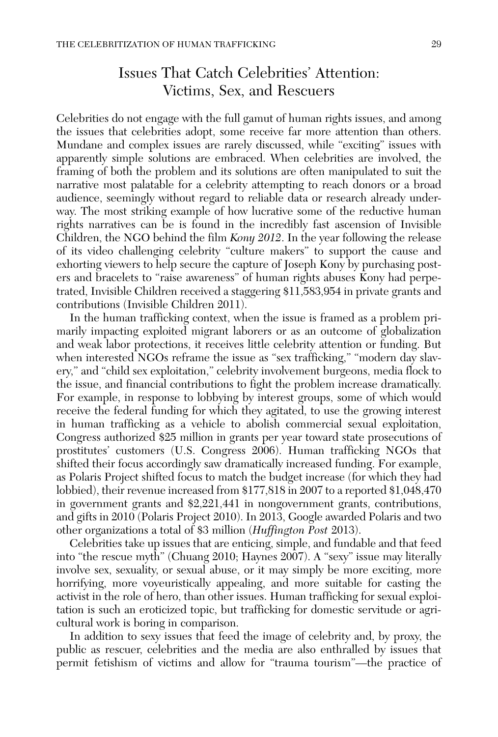# Issues That Catch Celebrities' Attention: Victims, Sex, and Rescuers

Celebrities do not engage with the full gamut of human rights issues, and among the issues that celebrities adopt, some receive far more attention than others. Mundane and complex issues are rarely discussed, while "exciting" issues with apparently simple solutions are embraced. When celebrities are involved, the framing of both the problem and its solutions are often manipulated to suit the narrative most palatable for a celebrity attempting to reach donors or a broad audience, seemingly without regard to reliable data or research already underway. The most striking example of how lucrative some of the reductive human rights narratives can be is found in the incredibly fast ascension of Invisible Children, the NGO behind the film *Kony 2012*. In the year following the release of its video challenging celebrity "culture makers" to support the cause and exhorting viewers to help secure the capture of Joseph Kony by purchasing posters and bracelets to "raise awareness" of human rights abuses Kony had perpetrated, Invisible Children received a staggering \$11,583,954 in private grants and contributions (Invisible Children 2011).

In the human trafficking context, when the issue is framed as a problem primarily impacting exploited migrant laborers or as an outcome of globalization and weak labor protections, it receives little celebrity attention or funding. But when interested NGOs reframe the issue as "sex trafficking," "modern day slavery," and "child sex exploitation," celebrity involvement burgeons, media flock to the issue, and financial contributions to fight the problem increase dramatically. For example, in response to lobbying by interest groups, some of which would receive the federal funding for which they agitated, to use the growing interest in human trafficking as a vehicle to abolish commercial sexual exploitation, Congress authorized \$25 million in grants per year toward state prosecutions of prostitutes' customers (U.S. Congress 2006). Human trafficking NGOs that shifted their focus accordingly saw dramatically increased funding. For example, as Polaris Project shifted focus to match the budget increase (for which they had lobbied), their revenue increased from \$177,818 in 2007 to a reported \$1,048,470 in government grants and \$2,221,441 in nongovernment grants, contributions, and gifts in 2010 (Polaris Project 2010). In 2013, Google awarded Polaris and two other organizations a total of \$3 million (*Huffington Post* 2013).

Celebrities take up issues that are enticing, simple, and fundable and that feed into "the rescue myth" (Chuang 2010; Haynes 2007). A "sexy" issue may literally involve sex, sexuality, or sexual abuse, or it may simply be more exciting, more horrifying, more voyeuristically appealing, and more suitable for casting the activist in the role of hero, than other issues. Human trafficking for sexual exploitation is such an eroticized topic, but trafficking for domestic servitude or agricultural work is boring in comparison.

In addition to sexy issues that feed the image of celebrity and, by proxy, the public as rescuer, celebrities and the media are also enthralled by issues that permit fetishism of victims and allow for "trauma tourism"—the practice of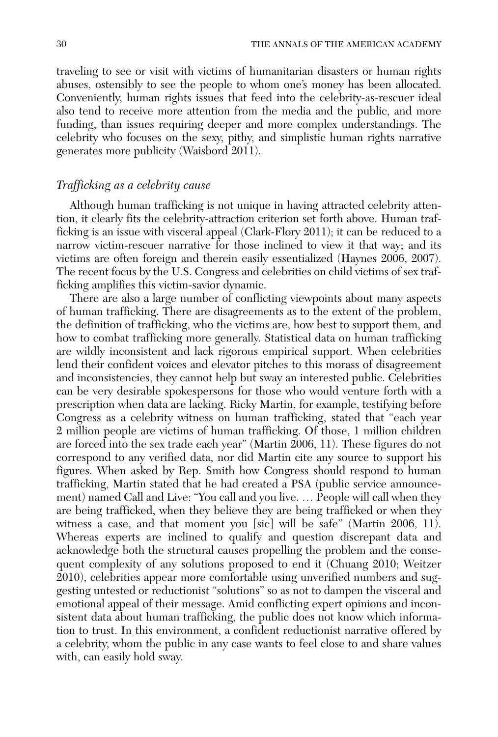traveling to see or visit with victims of humanitarian disasters or human rights abuses, ostensibly to see the people to whom one's money has been allocated. Conveniently, human rights issues that feed into the celebrity-as-rescuer ideal also tend to receive more attention from the media and the public, and more funding, than issues requiring deeper and more complex understandings. The celebrity who focuses on the sexy, pithy, and simplistic human rights narrative generates more publicity (Waisbord 2011).

#### *Trafficking as a celebrity cause*

Although human trafficking is not unique in having attracted celebrity attention, it clearly fits the celebrity-attraction criterion set forth above. Human trafficking is an issue with visceral appeal (Clark-Flory 2011); it can be reduced to a narrow victim-rescuer narrative for those inclined to view it that way; and its victims are often foreign and therein easily essentialized (Haynes 2006, 2007). The recent focus by the U.S. Congress and celebrities on child victims of sex trafficking amplifies this victim-savior dynamic.

There are also a large number of conflicting viewpoints about many aspects of human trafficking. There are disagreements as to the extent of the problem, the definition of trafficking, who the victims are, how best to support them, and how to combat trafficking more generally. Statistical data on human trafficking are wildly inconsistent and lack rigorous empirical support. When celebrities lend their confident voices and elevator pitches to this morass of disagreement and inconsistencies, they cannot help but sway an interested public. Celebrities can be very desirable spokespersons for those who would venture forth with a prescription when data are lacking. Ricky Martin, for example, testifying before Congress as a celebrity witness on human trafficking, stated that "each year 2 million people are victims of human trafficking. Of those, 1 million children are forced into the sex trade each year" (Martin 2006, 11). These figures do not correspond to any verified data, nor did Martin cite any source to support his figures. When asked by Rep. Smith how Congress should respond to human trafficking, Martin stated that he had created a PSA (public service announcement) named Call and Live: "You call and you live. … People will call when they are being trafficked, when they believe they are being trafficked or when they witness a case, and that moment you [sic] will be safe" (Martin 2006, 11). Whereas experts are inclined to qualify and question discrepant data and acknowledge both the structural causes propelling the problem and the consequent complexity of any solutions proposed to end it (Chuang 2010; Weitzer 2010), celebrities appear more comfortable using unverified numbers and suggesting untested or reductionist "solutions" so as not to dampen the visceral and emotional appeal of their message. Amid conflicting expert opinions and inconsistent data about human trafficking, the public does not know which information to trust. In this environment, a confident reductionist narrative offered by a celebrity, whom the public in any case wants to feel close to and share values with, can easily hold sway.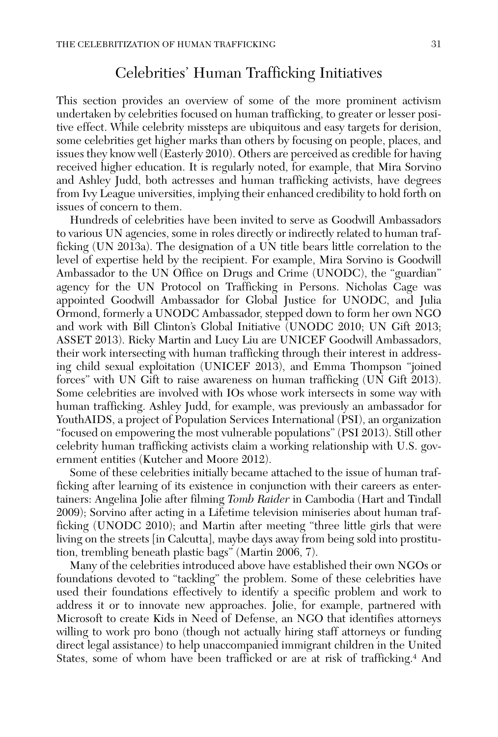# Celebrities' Human Trafficking Initiatives

This section provides an overview of some of the more prominent activism undertaken by celebrities focused on human trafficking, to greater or lesser positive effect. While celebrity missteps are ubiquitous and easy targets for derision, some celebrities get higher marks than others by focusing on people, places, and issues they know well (Easterly 2010). Others are perceived as credible for having received higher education. It is regularly noted, for example, that Mira Sorvino and Ashley Judd, both actresses and human trafficking activists, have degrees from Ivy League universities, implying their enhanced credibility to hold forth on issues of concern to them.

Hundreds of celebrities have been invited to serve as Goodwill Ambassadors to various UN agencies, some in roles directly or indirectly related to human trafficking (UN 2013a). The designation of a UN title bears little correlation to the level of expertise held by the recipient. For example, Mira Sorvino is Goodwill Ambassador to the UN Office on Drugs and Crime (UNODC), the "guardian" agency for the UN Protocol on Trafficking in Persons. Nicholas Cage was appointed Goodwill Ambassador for Global Justice for UNODC, and Julia Ormond, formerly a UNODC Ambassador, stepped down to form her own NGO and work with Bill Clinton's Global Initiative (UNODC 2010; UN Gift 2013; ASSET 2013). Ricky Martin and Lucy Liu are UNICEF Goodwill Ambassadors, their work intersecting with human trafficking through their interest in addressing child sexual exploitation (UNICEF 2013), and Emma Thompson "joined forces" with UN Gift to raise awareness on human trafficking (UN Gift 2013). Some celebrities are involved with IOs whose work intersects in some way with human trafficking. Ashley Judd, for example, was previously an ambassador for YouthAIDS, a project of Population Services International (PSI), an organization "focused on empowering the most vulnerable populations" (PSI 2013). Still other celebrity human trafficking activists claim a working relationship with U.S. government entities (Kutcher and Moore 2012).

Some of these celebrities initially became attached to the issue of human trafficking after learning of its existence in conjunction with their careers as entertainers: Angelina Jolie after filming *Tomb Raider* in Cambodia (Hart and Tindall 2009); Sorvino after acting in a Lifetime television miniseries about human trafficking (UNODC 2010); and Martin after meeting "three little girls that were living on the streets [in Calcutta], maybe days away from being sold into prostitution, trembling beneath plastic bags" (Martin 2006, 7).

Many of the celebrities introduced above have established their own NGOs or foundations devoted to "tackling" the problem. Some of these celebrities have used their foundations effectively to identify a specific problem and work to address it or to innovate new approaches. Jolie, for example, partnered with Microsoft to create Kids in Need of Defense, an NGO that identifies attorneys willing to work pro bono (though not actually hiring staff attorneys or funding direct legal assistance) to help unaccompanied immigrant children in the United States, some of whom have been trafficked or are at risk of trafficking.<sup>4</sup> And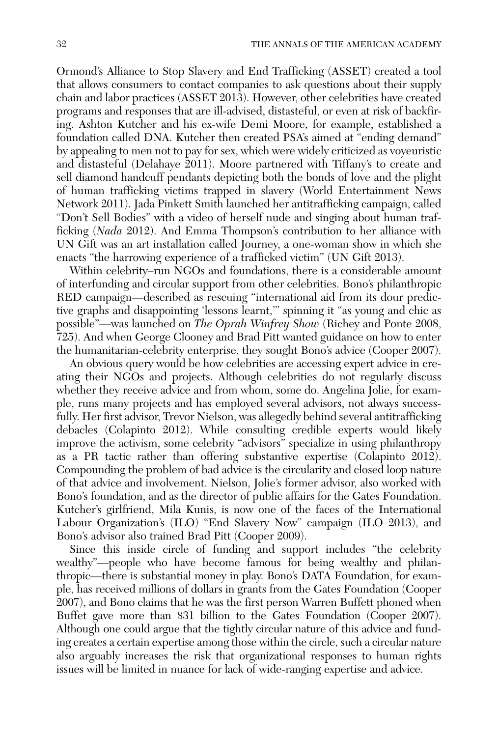Ormond's Alliance to Stop Slavery and End Trafficking (ASSET) created a tool that allows consumers to contact companies to ask questions about their supply chain and labor practices (ASSET 2013). However, other celebrities have created programs and responses that are ill-advised, distasteful, or even at risk of backfiring. Ashton Kutcher and his ex-wife Demi Moore, for example, established a foundation called DNA. Kutcher then created PSA's aimed at "ending demand" by appealing to men not to pay for sex, which were widely criticized as voyeuristic and distasteful (Delahaye 2011). Moore partnered with Tiffany's to create and sell diamond handcuff pendants depicting both the bonds of love and the plight of human trafficking victims trapped in slavery (World Entertainment News Network 2011). Jada Pinkett Smith launched her antitrafficking campaign, called "Don't Sell Bodies" with a video of herself nude and singing about human trafficking (*Nada* 2012). And Emma Thompson's contribution to her alliance with UN Gift was an art installation called Journey, a one-woman show in which she enacts "the harrowing experience of a trafficked victim" (UN Gift 2013).

Within celebrity–run NGOs and foundations, there is a considerable amount of interfunding and circular support from other celebrities. Bono's philanthropic RED campaign—described as rescuing "international aid from its dour predictive graphs and disappointing 'lessons learnt,'" spinning it "as young and chic as possible"—was launched on *The Oprah Winfrey Show* (Richey and Ponte 2008, 725). And when George Clooney and Brad Pitt wanted guidance on how to enter the humanitarian-celebrity enterprise, they sought Bono's advice (Cooper 2007).

An obvious query would be how celebrities are accessing expert advice in creating their NGOs and projects. Although celebrities do not regularly discuss whether they receive advice and from whom, some do. Angelina Jolie, for example, runs many projects and has employed several advisors, not always successfully. Her first advisor, Trevor Nielson, was allegedly behind several antitrafficking debacles (Colapinto 2012). While consulting credible experts would likely improve the activism, some celebrity "advisors" specialize in using philanthropy as a PR tactic rather than offering substantive expertise (Colapinto 2012). Compounding the problem of bad advice is the circularity and closed loop nature of that advice and involvement. Nielson, Jolie's former advisor, also worked with Bono's foundation, and as the director of public affairs for the Gates Foundation. Kutcher's girlfriend, Mila Kunis, is now one of the faces of the International Labour Organization's (ILO) "End Slavery Now" campaign (ILO 2013), and Bono's advisor also trained Brad Pitt (Cooper 2009).

Since this inside circle of funding and support includes "the celebrity wealthy"—people who have become famous for being wealthy and philanthropic—there is substantial money in play. Bono's DATA Foundation, for example, has received millions of dollars in grants from the Gates Foundation (Cooper 2007), and Bono claims that he was the first person Warren Buffett phoned when Buffet gave more than \$31 billion to the Gates Foundation (Cooper 2007). Although one could argue that the tightly circular nature of this advice and funding creates a certain expertise among those within the circle, such a circular nature also arguably increases the risk that organizational responses to human rights issues will be limited in nuance for lack of wide-ranging expertise and advice.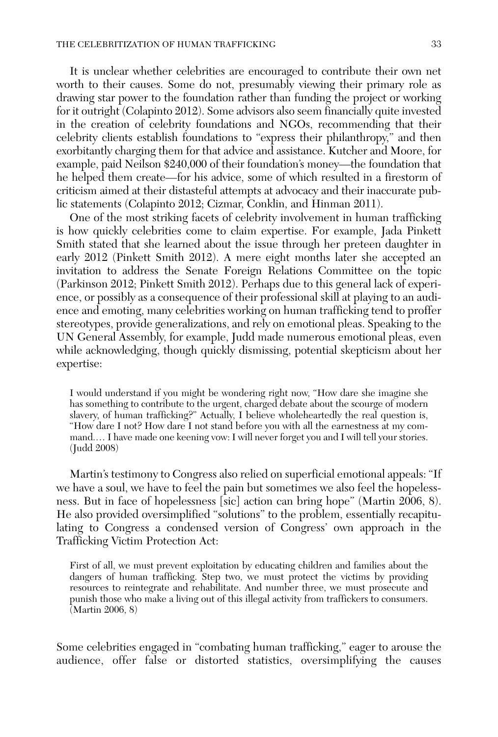It is unclear whether celebrities are encouraged to contribute their own net worth to their causes. Some do not, presumably viewing their primary role as drawing star power to the foundation rather than funding the project or working for it outright (Colapinto 2012). Some advisors also seem financially quite invested in the creation of celebrity foundations and NGOs, recommending that their celebrity clients establish foundations to "express their philanthropy," and then exorbitantly charging them for that advice and assistance. Kutcher and Moore, for example, paid Neilson \$240,000 of their foundation's money—the foundation that he helped them create—for his advice, some of which resulted in a firestorm of criticism aimed at their distasteful attempts at advocacy and their inaccurate public statements (Colapinto 2012; Cizmar, Conklin, and Hinman 2011).

One of the most striking facets of celebrity involvement in human trafficking is how quickly celebrities come to claim expertise. For example, Jada Pinkett Smith stated that she learned about the issue through her preteen daughter in early 2012 (Pinkett Smith 2012). A mere eight months later she accepted an invitation to address the Senate Foreign Relations Committee on the topic (Parkinson 2012; Pinkett Smith 2012). Perhaps due to this general lack of experience, or possibly as a consequence of their professional skill at playing to an audience and emoting, many celebrities working on human trafficking tend to proffer stereotypes, provide generalizations, and rely on emotional pleas. Speaking to the UN General Assembly, for example, Judd made numerous emotional pleas, even while acknowledging, though quickly dismissing, potential skepticism about her expertise:

I would understand if you might be wondering right now, "How dare she imagine she has something to contribute to the urgent, charged debate about the scourge of modern slavery, of human trafficking?" Actually, I believe wholeheartedly the real question is, "How dare I not? How dare I not stand before you with all the earnestness at my command.… I have made one keening vow: I will never forget you and I will tell your stories. (Judd 2008)

Martin's testimony to Congress also relied on superficial emotional appeals: "If we have a soul, we have to feel the pain but sometimes we also feel the hopelessness. But in face of hopelessness [sic] action can bring hope" (Martin 2006, 8). He also provided oversimplified "solutions" to the problem, essentially recapitulating to Congress a condensed version of Congress' own approach in the Trafficking Victim Protection Act:

First of all, we must prevent exploitation by educating children and families about the dangers of human trafficking. Step two, we must protect the victims by providing resources to reintegrate and rehabilitate. And number three, we must prosecute and punish those who make a living out of this illegal activity from traffickers to consumers. (Martin 2006, 8)

Some celebrities engaged in "combating human trafficking," eager to arouse the audience, offer false or distorted statistics, oversimplifying the causes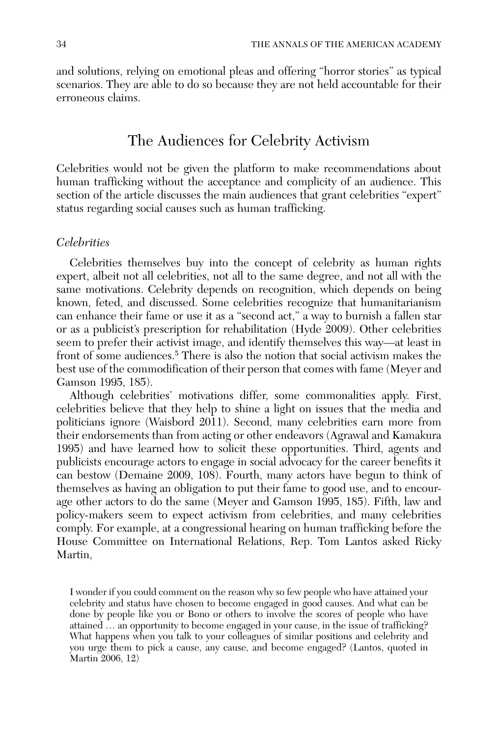and solutions, relying on emotional pleas and offering "horror stories" as typical scenarios. They are able to do so because they are not held accountable for their erroneous claims.

# The Audiences for Celebrity Activism

Celebrities would not be given the platform to make recommendations about human trafficking without the acceptance and complicity of an audience. This section of the article discusses the main audiences that grant celebrities "expert" status regarding social causes such as human trafficking.

#### *Celebrities*

Celebrities themselves buy into the concept of celebrity as human rights expert, albeit not all celebrities, not all to the same degree, and not all with the same motivations. Celebrity depends on recognition, which depends on being known, feted, and discussed. Some celebrities recognize that humanitarianism can enhance their fame or use it as a "second act," a way to burnish a fallen star or as a publicist's prescription for rehabilitation (Hyde 2009). Other celebrities seem to prefer their activist image, and identify themselves this way—at least in front of some audiences.<sup>5</sup> There is also the notion that social activism makes the best use of the commodification of their person that comes with fame (Meyer and Gamson 1995, 185).

Although celebrities' motivations differ, some commonalities apply. First, celebrities believe that they help to shine a light on issues that the media and politicians ignore (Waisbord 2011). Second, many celebrities earn more from their endorsements than from acting or other endeavors (Agrawal and Kamakura 1995) and have learned how to solicit these opportunities. Third, agents and publicists encourage actors to engage in social advocacy for the career benefits it can bestow (Demaine 2009, 108). Fourth, many actors have begun to think of themselves as having an obligation to put their fame to good use, and to encourage other actors to do the same (Meyer and Gamson 1995, 185). Fifth, law and policy-makers seem to expect activism from celebrities, and many celebrities comply. For example, at a congressional hearing on human trafficking before the House Committee on International Relations, Rep. Tom Lantos asked Ricky Martin,

I wonder if you could comment on the reason why so few people who have attained your celebrity and status have chosen to become engaged in good causes. And what can be done by people like you or Bono or others to involve the scores of people who have attained … an opportunity to become engaged in your cause, in the issue of trafficking? What happens when you talk to your colleagues of similar positions and celebrity and you urge them to pick a cause, any cause, and become engaged? (Lantos, quoted in Martin 2006, 12)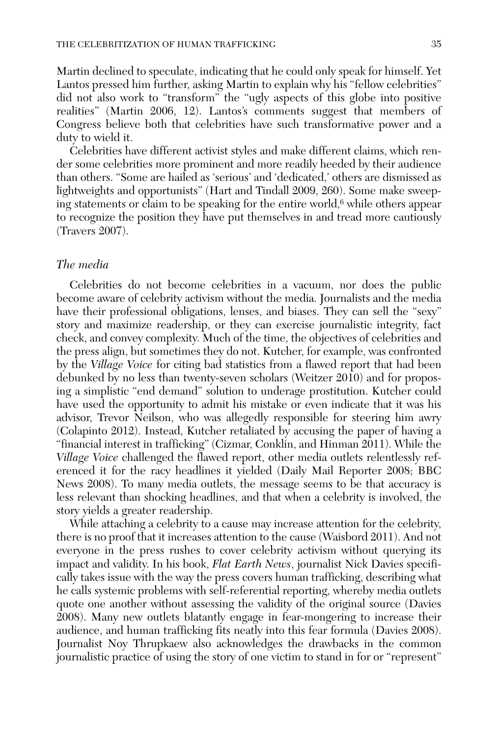Martin declined to speculate, indicating that he could only speak for himself. Yet Lantos pressed him further, asking Martin to explain why his "fellow celebrities" did not also work to "transform" the "ugly aspects of this globe into positive realities" (Martin 2006, 12). Lantos's comments suggest that members of Congress believe both that celebrities have such transformative power and a duty to wield it.

Celebrities have different activist styles and make different claims, which render some celebrities more prominent and more readily heeded by their audience than others. "Some are hailed as 'serious' and 'dedicated,' others are dismissed as lightweights and opportunists" (Hart and Tindall 2009, 260). Some make sweeping statements or claim to be speaking for the entire world,<sup>6</sup> while others appear to recognize the position they have put themselves in and tread more cautiously (Travers 2007).

#### *The media*

Celebrities do not become celebrities in a vacuum, nor does the public become aware of celebrity activism without the media. Journalists and the media have their professional obligations, lenses, and biases. They can sell the "sexy" story and maximize readership, or they can exercise journalistic integrity, fact check, and convey complexity. Much of the time, the objectives of celebrities and the press align, but sometimes they do not. Kutcher, for example, was confronted by the *Village Voice* for citing bad statistics from a flawed report that had been debunked by no less than twenty-seven scholars (Weitzer 2010) and for proposing a simplistic "end demand" solution to underage prostitution. Kutcher could have used the opportunity to admit his mistake or even indicate that it was his advisor, Trevor Neilson, who was allegedly responsible for steering him awry (Colapinto 2012). Instead, Kutcher retaliated by accusing the paper of having a "financial interest in trafficking" (Cizmar, Conklin, and Hinman 2011). While the *Village Voice* challenged the flawed report, other media outlets relentlessly referenced it for the racy headlines it yielded (Daily Mail Reporter 2008; BBC News 2008). To many media outlets, the message seems to be that accuracy is less relevant than shocking headlines, and that when a celebrity is involved, the story yields a greater readership.

While attaching a celebrity to a cause may increase attention for the celebrity, there is no proof that it increases attention to the cause (Waisbord 2011). And not everyone in the press rushes to cover celebrity activism without querying its impact and validity. In his book, *Flat Earth News*, journalist Nick Davies specifically takes issue with the way the press covers human trafficking, describing what he calls systemic problems with self-referential reporting, whereby media outlets quote one another without assessing the validity of the original source (Davies 2008). Many new outlets blatantly engage in fear-mongering to increase their audience, and human trafficking fits neatly into this fear formula (Davies 2008). Journalist Noy Thrupkaew also acknowledges the drawbacks in the common journalistic practice of using the story of one victim to stand in for or "represent"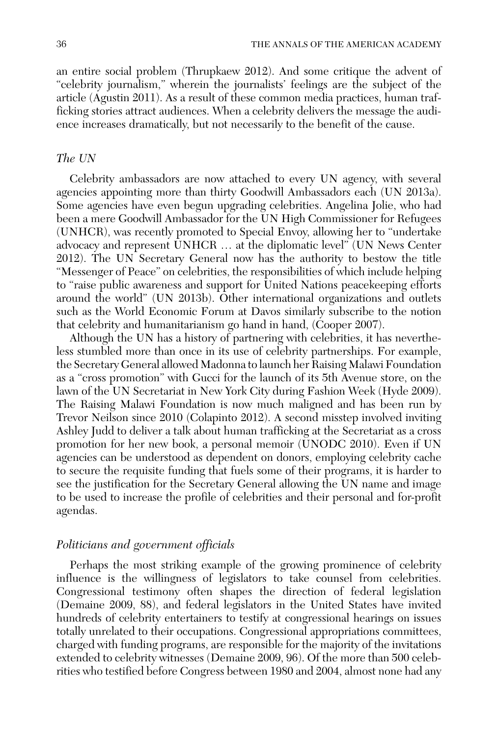an entire social problem (Thrupkaew 2012). And some critique the advent of "celebrity journalism," wherein the journalists' feelings are the subject of the article (Agustin 2011). As a result of these common media practices, human trafficking stories attract audiences. When a celebrity delivers the message the audience increases dramatically, but not necessarily to the benefit of the cause.

#### *The UN*

Celebrity ambassadors are now attached to every UN agency, with several agencies appointing more than thirty Goodwill Ambassadors each (UN 2013a). Some agencies have even begun upgrading celebrities. Angelina Jolie, who had been a mere Goodwill Ambassador for the UN High Commissioner for Refugees (UNHCR), was recently promoted to Special Envoy, allowing her to "undertake advocacy and represent UNHCR … at the diplomatic level" (UN News Center 2012). The UN Secretary General now has the authority to bestow the title "Messenger of Peace" on celebrities, the responsibilities of which include helping to "raise public awareness and support for United Nations peacekeeping efforts around the world" (UN 2013b). Other international organizations and outlets such as the World Economic Forum at Davos similarly subscribe to the notion that celebrity and humanitarianism go hand in hand, (Cooper 2007).

Although the UN has a history of partnering with celebrities, it has nevertheless stumbled more than once in its use of celebrity partnerships. For example, the Secretary General allowed Madonna to launch her Raising Malawi Foundation as a "cross promotion" with Gucci for the launch of its 5th Avenue store, on the lawn of the UN Secretariat in New York City during Fashion Week (Hyde 2009). The Raising Malawi Foundation is now much maligned and has been run by Trevor Neilson since 2010 (Colapinto 2012). A second misstep involved inviting Ashley Judd to deliver a talk about human trafficking at the Secretariat as a cross promotion for her new book, a personal memoir (UNODC 2010). Even if UN agencies can be understood as dependent on donors, employing celebrity cache to secure the requisite funding that fuels some of their programs, it is harder to see the justification for the Secretary General allowing the UN name and image to be used to increase the profile of celebrities and their personal and for-profit agendas.

#### *Politicians and government officials*

Perhaps the most striking example of the growing prominence of celebrity influence is the willingness of legislators to take counsel from celebrities. Congressional testimony often shapes the direction of federal legislation (Demaine 2009, 88), and federal legislators in the United States have invited hundreds of celebrity entertainers to testify at congressional hearings on issues totally unrelated to their occupations. Congressional appropriations committees, charged with funding programs, are responsible for the majority of the invitations extended to celebrity witnesses (Demaine 2009, 96). Of the more than 500 celebrities who testified before Congress between 1980 and 2004, almost none had any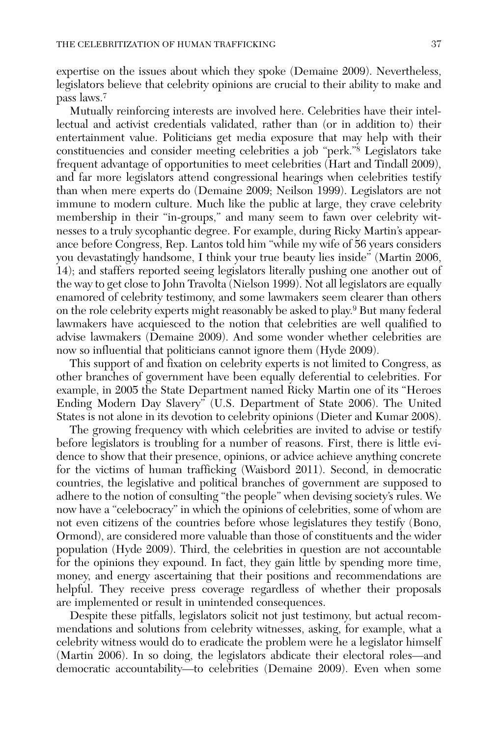expertise on the issues about which they spoke (Demaine 2009). Nevertheless, legislators believe that celebrity opinions are crucial to their ability to make and pass laws.7

Mutually reinforcing interests are involved here. Celebrities have their intellectual and activist credentials validated, rather than (or in addition to) their entertainment value. Politicians get media exposure that may help with their constituencies and consider meeting celebrities a job "perk."8 Legislators take frequent advantage of opportunities to meet celebrities (Hart and Tindall 2009), and far more legislators attend congressional hearings when celebrities testify than when mere experts do (Demaine 2009; Neilson 1999). Legislators are not immune to modern culture. Much like the public at large, they crave celebrity membership in their "in-groups," and many seem to fawn over celebrity witnesses to a truly sycophantic degree. For example, during Ricky Martin's appearance before Congress, Rep. Lantos told him "while my wife of 56 years considers you devastatingly handsome, I think your true beauty lies inside" (Martin 2006, 14); and staffers reported seeing legislators literally pushing one another out of the way to get close to John Travolta (Nielson 1999). Not all legislators are equally enamored of celebrity testimony, and some lawmakers seem clearer than others on the role celebrity experts might reasonably be asked to play.9 But many federal lawmakers have acquiesced to the notion that celebrities are well qualified to advise lawmakers (Demaine 2009). And some wonder whether celebrities are now so influential that politicians cannot ignore them (Hyde 2009).

This support of and fixation on celebrity experts is not limited to Congress, as other branches of government have been equally deferential to celebrities. For example, in 2005 the State Department named Ricky Martin one of its "Heroes Ending Modern Day Slavery" (U.S. Department of State 2006). The United States is not alone in its devotion to celebrity opinions (Dieter and Kumar 2008).

The growing frequency with which celebrities are invited to advise or testify before legislators is troubling for a number of reasons. First, there is little evidence to show that their presence, opinions, or advice achieve anything concrete for the victims of human trafficking (Waisbord 2011). Second, in democratic countries, the legislative and political branches of government are supposed to adhere to the notion of consulting "the people" when devising society's rules. We now have a "celebocracy" in which the opinions of celebrities, some of whom are not even citizens of the countries before whose legislatures they testify (Bono, Ormond), are considered more valuable than those of constituents and the wider population (Hyde 2009). Third, the celebrities in question are not accountable for the opinions they expound. In fact, they gain little by spending more time, money, and energy ascertaining that their positions and recommendations are helpful. They receive press coverage regardless of whether their proposals are implemented or result in unintended consequences.

Despite these pitfalls, legislators solicit not just testimony, but actual recommendations and solutions from celebrity witnesses, asking, for example, what a celebrity witness would do to eradicate the problem were he a legislator himself (Martin 2006). In so doing, the legislators abdicate their electoral roles—and democratic accountability—to celebrities (Demaine 2009). Even when some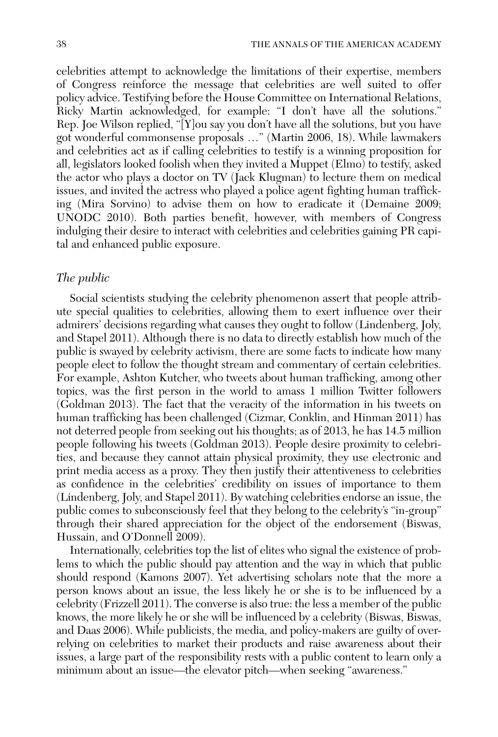celebrities attempt to acknowledge the limitations of their expertise, members of Congress reinforce the message that celebrities are well suited to offer policy advice. Testifying before the House Committee on International Relations, Ricky Martin acknowledged, for example: "I don't have all the solutions." Rep. Joe Wilson replied, "[Y]ou say you don't have all the solutions, but you have got wonderful commonsense proposals …" (Martin 2006, 18). While lawmakers and celebrities act as if calling celebrities to testify is a winning proposition for all, legislators looked foolish when they invited a Muppet (Elmo) to testify, asked the actor who plays a doctor on TV (Jack Klugman) to lecture them on medical issues, and invited the actress who played a police agent fighting human trafficking (Mira Sorvino) to advise them on how to eradicate it (Demaine 2009; UNODC 2010). Both parties benefit, however, with members of Congress indulging their desire to interact with celebrities and celebrities gaining PR capital and enhanced public exposure.

#### *The public*

Social scientists studying the celebrity phenomenon assert that people attribute special qualities to celebrities, allowing them to exert influence over their admirers' decisions regarding what causes they ought to follow (Lindenberg, Joly, and Stapel 2011). Although there is no data to directly establish how much of the public is swayed by celebrity activism, there are some facts to indicate how many people elect to follow the thought stream and commentary of certain celebrities. For example, Ashton Kutcher, who tweets about human trafficking, among other topics, was the first person in the world to amass 1 million Twitter followers (Goldman 2013). The fact that the veracity of the information in his tweets on human trafficking has been challenged (Cizmar, Conklin, and Hinman 2011) has not deterred people from seeking out his thoughts; as of 2013, he has 14.5 million people following his tweets (Goldman 2013). People desire proximity to celebrities, and because they cannot attain physical proximity, they use electronic and print media access as a proxy. They then justify their attentiveness to celebrities as confidence in the celebrities' credibility on issues of importance to them (Lindenberg, Joly, and Stapel 2011). By watching celebrities endorse an issue, the public comes to subconsciously feel that they belong to the celebrity's "in-group" through their shared appreciation for the object of the endorsement (Biswas, Hussain, and O'Donnell 2009).

Internationally, celebrities top the list of elites who signal the existence of problems to which the public should pay attention and the way in which that public should respond (Kamons 2007). Yet advertising scholars note that the more a person knows about an issue, the less likely he or she is to be influenced by a celebrity (Frizzell 2011). The converse is also true: the less a member of the public knows, the more likely he or she will be influenced by a celebrity (Biswas, Biswas, and Daas 2006). While publicists, the media, and policy-makers are guilty of overrelying on celebrities to market their products and raise awareness about their issues, a large part of the responsibility rests with a public content to learn only a minimum about an issue—the elevator pitch—when seeking "awareness."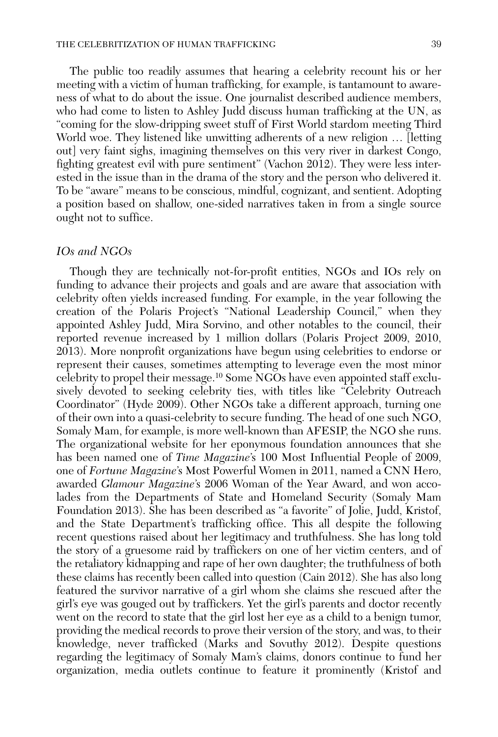The public too readily assumes that hearing a celebrity recount his or her meeting with a victim of human trafficking, for example, is tantamount to awareness of what to do about the issue. One journalist described audience members, who had come to listen to Ashley Judd discuss human trafficking at the UN, as "coming for the slow-dripping sweet stuff of First World stardom meeting Third World woe. They listened like unwitting adherents of a new religion … [letting out] very faint sighs, imagining themselves on this very river in darkest Congo, fighting greatest evil with pure sentiment" (Vachon 2012). They were less interested in the issue than in the drama of the story and the person who delivered it. To be "aware" means to be conscious, mindful, cognizant, and sentient. Adopting a position based on shallow, one-sided narratives taken in from a single source ought not to suffice.

#### *IOs and NGOs*

Though they are technically not-for-profit entities, NGOs and IOs rely on funding to advance their projects and goals and are aware that association with celebrity often yields increased funding. For example, in the year following the creation of the Polaris Project's "National Leadership Council," when they appointed Ashley Judd, Mira Sorvino, and other notables to the council, their reported revenue increased by 1 million dollars (Polaris Project 2009, 2010, 2013). More nonprofit organizations have begun using celebrities to endorse or represent their causes, sometimes attempting to leverage even the most minor celebrity to propel their message.10 Some NGOs have even appointed staff exclusively devoted to seeking celebrity ties, with titles like "Celebrity Outreach Coordinator" (Hyde 2009). Other NGOs take a different approach, turning one of their own into a quasi-celebrity to secure funding. The head of one such NGO, Somaly Mam, for example, is more well-known than AFESIP, the NGO she runs. The organizational website for her eponymous foundation announces that she has been named one of *Time Magazine*'s 100 Most Influential People of 2009, one of *Fortune Magazine*'s Most Powerful Women in 2011, named a CNN Hero, awarded *Glamour Magazine*'s 2006 Woman of the Year Award, and won accolades from the Departments of State and Homeland Security (Somaly Mam Foundation 2013). She has been described as "a favorite" of Jolie, Judd, Kristof, and the State Department's trafficking office. This all despite the following recent questions raised about her legitimacy and truthfulness. She has long told the story of a gruesome raid by traffickers on one of her victim centers, and of the retaliatory kidnapping and rape of her own daughter; the truthfulness of both these claims has recently been called into question (Cain 2012). She has also long featured the survivor narrative of a girl whom she claims she rescued after the girl's eye was gouged out by traffickers. Yet the girl's parents and doctor recently went on the record to state that the girl lost her eye as a child to a benign tumor, providing the medical records to prove their version of the story, and was, to their knowledge, never trafficked (Marks and Sovuthy 2012). Despite questions regarding the legitimacy of Somaly Mam's claims, donors continue to fund her organization, media outlets continue to feature it prominently (Kristof and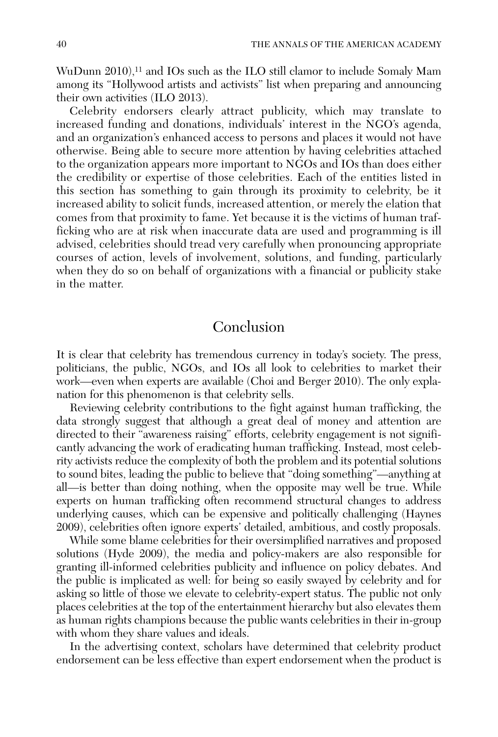WuDunn 2010),<sup>11</sup> and IOs such as the ILO still clamor to include Somaly Mam among its "Hollywood artists and activists" list when preparing and announcing their own activities (ILO 2013).

Celebrity endorsers clearly attract publicity, which may translate to increased funding and donations, individuals' interest in the NGO's agenda, and an organization's enhanced access to persons and places it would not have otherwise. Being able to secure more attention by having celebrities attached to the organization appears more important to NGOs and IOs than does either the credibility or expertise of those celebrities. Each of the entities listed in this section has something to gain through its proximity to celebrity, be it increased ability to solicit funds, increased attention, or merely the elation that comes from that proximity to fame. Yet because it is the victims of human trafficking who are at risk when inaccurate data are used and programming is ill advised, celebrities should tread very carefully when pronouncing appropriate courses of action, levels of involvement, solutions, and funding, particularly when they do so on behalf of organizations with a financial or publicity stake in the matter.

## Conclusion

It is clear that celebrity has tremendous currency in today's society. The press, politicians, the public, NGOs, and IOs all look to celebrities to market their work—even when experts are available (Choi and Berger 2010). The only explanation for this phenomenon is that celebrity sells.

Reviewing celebrity contributions to the fight against human trafficking, the data strongly suggest that although a great deal of money and attention are directed to their "awareness raising" efforts, celebrity engagement is not significantly advancing the work of eradicating human trafficking. Instead, most celebrity activists reduce the complexity of both the problem and its potential solutions to sound bites, leading the public to believe that "doing something"—anything at all—is better than doing nothing, when the opposite may well be true. While experts on human trafficking often recommend structural changes to address underlying causes, which can be expensive and politically challenging (Haynes 2009), celebrities often ignore experts' detailed, ambitious, and costly proposals.

While some blame celebrities for their oversimplified narratives and proposed solutions (Hyde 2009), the media and policy-makers are also responsible for granting ill-informed celebrities publicity and influence on policy debates. And the public is implicated as well: for being so easily swayed by celebrity and for asking so little of those we elevate to celebrity-expert status. The public not only places celebrities at the top of the entertainment hierarchy but also elevates them as human rights champions because the public wants celebrities in their in-group with whom they share values and ideals.

In the advertising context, scholars have determined that celebrity product endorsement can be less effective than expert endorsement when the product is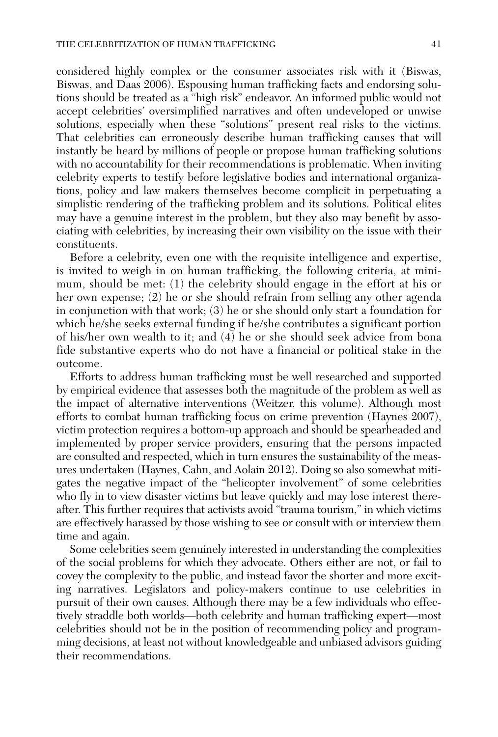considered highly complex or the consumer associates risk with it (Biswas, Biswas, and Daas 2006). Espousing human trafficking facts and endorsing solutions should be treated as a "high risk" endeavor. An informed public would not accept celebrities' oversimplified narratives and often undeveloped or unwise solutions, especially when these "solutions" present real risks to the victims. That celebrities can erroneously describe human trafficking causes that will instantly be heard by millions of people or propose human trafficking solutions with no accountability for their recommendations is problematic. When inviting celebrity experts to testify before legislative bodies and international organizations, policy and law makers themselves become complicit in perpetuating a simplistic rendering of the trafficking problem and its solutions. Political elites may have a genuine interest in the problem, but they also may benefit by associating with celebrities, by increasing their own visibility on the issue with their constituents.

Before a celebrity, even one with the requisite intelligence and expertise, is invited to weigh in on human trafficking, the following criteria, at minimum, should be met: (1) the celebrity should engage in the effort at his or her own expense; (2) he or she should refrain from selling any other agenda in conjunction with that work; (3) he or she should only start a foundation for which he/she seeks external funding if he/she contributes a significant portion of his/her own wealth to it; and (4) he or she should seek advice from bona fide substantive experts who do not have a financial or political stake in the outcome.

Efforts to address human trafficking must be well researched and supported by empirical evidence that assesses both the magnitude of the problem as well as the impact of alternative interventions (Weitzer, this volume). Although most efforts to combat human trafficking focus on crime prevention (Haynes 2007), victim protection requires a bottom-up approach and should be spearheaded and implemented by proper service providers, ensuring that the persons impacted are consulted and respected, which in turn ensures the sustainability of the measures undertaken (Haynes, Cahn, and Aolain 2012). Doing so also somewhat mitigates the negative impact of the "helicopter involvement" of some celebrities who fly in to view disaster victims but leave quickly and may lose interest thereafter. This further requires that activists avoid "trauma tourism," in which victims are effectively harassed by those wishing to see or consult with or interview them time and again.

Some celebrities seem genuinely interested in understanding the complexities of the social problems for which they advocate. Others either are not, or fail to covey the complexity to the public, and instead favor the shorter and more exciting narratives. Legislators and policy-makers continue to use celebrities in pursuit of their own causes. Although there may be a few individuals who effectively straddle both worlds—both celebrity and human trafficking expert—most celebrities should not be in the position of recommending policy and programming decisions, at least not without knowledgeable and unbiased advisors guiding their recommendations.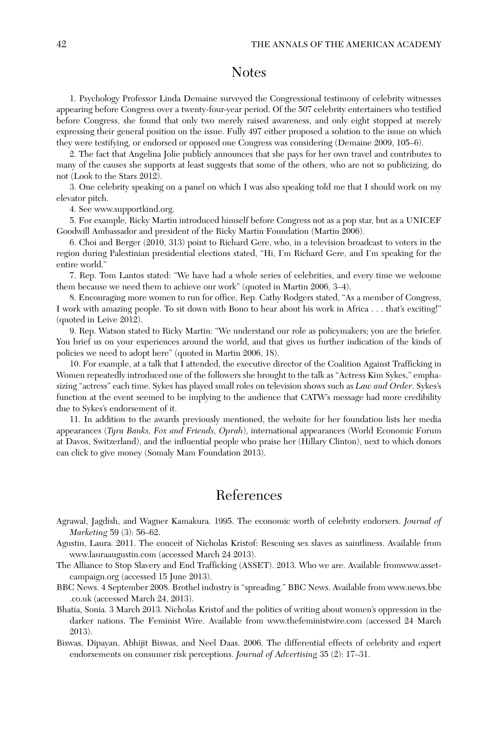### **Notes**

1. Psychology Professor Linda Demaine surveyed the Congressional testimony of celebrity witnesses appearing before Congress over a twenty-four-year period. Of the 507 celebrity entertainers who testified before Congress, she found that only two merely raised awareness, and only eight stopped at merely expressing their general position on the issue. Fully 497 either proposed a solution to the issue on which they were testifying, or endorsed or opposed one Congress was considering (Demaine 2009, 105–6).

2. The fact that Angelina Jolie publicly announces that she pays for her own travel and contributes to many of the causes she supports at least suggests that some of the others, who are not so publicizing, do not (Look to the Stars 2012).

3. One celebrity speaking on a panel on which I was also speaking told me that I should work on my elevator pitch.

4. See [www.supportkind.org.](www.supportkind.org)

5. For example, Ricky Martin introduced himself before Congress not as a pop star, but as a UNICEF Goodwill Ambassador and president of the Ricky Martin Foundation (Martin 2006).

6. Choi and Berger (2010, 313) point to Richard Gere, who, in a television broadcast to voters in the region during Palestinian presidential elections stated, "Hi, I'm Richard Gere, and I'm speaking for the entire world."

7. Rep. Tom Lantos stated: "We have had a whole series of celebrities, and every time we welcome them because we need them to achieve our work" (quoted in Martin 2006, 3–4).

8. Encouraging more women to run for office, Rep. Cathy Rodgers stated, "As a member of Congress, I work with amazing people. To sit down with Bono to hear about his work in Africa . . . that's exciting!" (quoted in Leive 2012).

9. Rep. Watson stated to Ricky Martin: "We understand our role as policymakers; you are the briefer. You brief us on your experiences around the world, and that gives us further indication of the kinds of policies we need to adopt here" (quoted in Martin 2006, 18).

10. For example, at a talk that I attended, the executive director of the Coalition Against Trafficking in Women repeatedly introduced one of the followers she brought to the talk as "Actress Kim Sykes," emphasizing "actress" each time. Sykes has played small roles on television shows such as *Law and Order*. Sykes's function at the event seemed to be implying to the audience that CATW's message had more credibility due to Sykes's endorsement of it.

11. In addition to the awards previously mentioned, the website for her foundation lists her media appearances (*Tyra Banks, Fox and Friends, Oprah*), international appearances (World Economic Forum at Davos, Switzerland), and the influential people who praise her (Hillary Clinton), next to which donors can click to give money (Somaly Mam Foundation 2013).

## References

Agrawal, Jagdish, and Wagner Kamakura. 1995. The economic worth of celebrity endorsers. *Journal of Marketing* 59 (3): 56–62.

- Agustin, Laura. 2011. The conceit of Nicholas Kristof: Rescuing sex slaves as saintliness. Available from <www.lauraaugustin.com> (accessed March 24 2013).
- The Alliance to Stop Slavery and End Trafficking (ASSET). 2013. Who we are. Available from[www.asset](www.assetcampaign.org)[campaign.org](www.assetcampaign.org) (accessed 15 June 2013).
- BBC News. 4 September 2008. Brothel industry is "spreading." BBC News. Available from [www.news.bbc](www.news.bbc.co.uk) [.co.uk](www.news.bbc.co.uk) (accessed March 24, 2013).
- Bhatia, Sonia. 3 March 2013. Nicholas Kristof and the politics of writing about women's oppression in the darker nations. The Feminist Wire. Available from <www.thefeministwire.com> (accessed 24 March 2013).

Biswas, Dipayan, Abhijit Biswas, and Neel Daas. 2006. The differential effects of celebrity and expert endorsements on consumer risk perceptions. *Journal of Advertising* 35 (2): 17–31.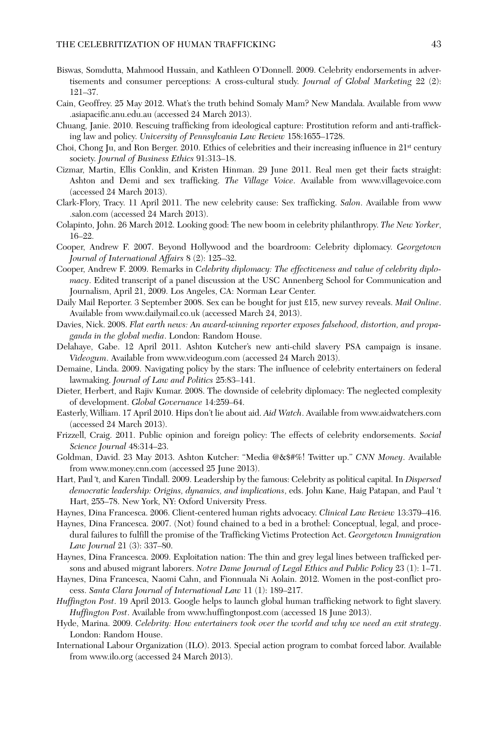- Biswas, Somdutta, Mahmood Hussain, and Kathleen O'Donnell. 2009. Celebrity endorsements in advertisements and consumer perceptions: A cross-cultural study. *Journal of Global Marketing* 22 (2): 121–37.
- Cain, Geoffrey. 25 May 2012. What's the truth behind Somaly Mam? New Mandala. Available from [www](www.asiapacific.anu.edu.au) [.asiapacific.anu.edu.au](www.asiapacific.anu.edu.au) (accessed 24 March 2013).
- Chuang, Janie. 2010. Rescuing trafficking from ideological capture: Prostitution reform and anti-trafficking law and policy. *University of Pennsylvania Law Review* 158:1655–1728.
- Choi, Chong Ju, and Ron Berger. 2010. Ethics of celebrities and their increasing influence in 21st century society. *Journal of Business Ethics* 91:313–18.
- Cizmar, Martin, Ellis Conklin, and Kristen Hinman. 29 June 2011. Real men get their facts straight: Ashton and Demi and sex trafficking. *The Village Voice*. Available from <www.villagevoice.com> (accessed 24 March 2013).
- Clark-Flory, Tracy. 11 April 2011. The new celebrity cause: Sex trafficking. *Salon*. Available from [www](www.salon.com) [.salon.com](www.salon.com) (accessed 24 March 2013).
- Colapinto, John. 26 March 2012. Looking good: The new boom in celebrity philanthropy. *The New Yorker*, 16–22.
- Cooper, Andrew F. 2007. Beyond Hollywood and the boardroom: Celebrity diplomacy. *Georgetown Journal of International Affairs* 8 (2): 125–32.
- Cooper, Andrew F. 2009. Remarks in *Celebrity diplomacy: The effectiveness and value of celebrity diplomacy*. Edited transcript of a panel discussion at the USC Annenberg School for Communication and Journalism, April 21, 2009. Los Angeles, CA: Norman Lear Center.
- Daily Mail Reporter. 3 September 2008. Sex can be bought for just £15, new survey reveals. *Mail Online*. Available from<www.dailymail.co.uk>(accessed March 24, 2013).
- Davies, Nick. 2008. *Flat earth news: An award-winning reporter exposes falsehood, distortion, and propaganda in the global media*. London: Random House.
- Delahaye, Gabe. 12 April 2011. Ashton Kutcher's new anti-child slavery PSA campaign is insane. *Videogum*. Available from <www.videogum.com> (accessed 24 March 2013).
- Demaine, Linda. 2009. Navigating policy by the stars: The influence of celebrity entertainers on federal lawmaking. *Journal of Law and Politics* 25:83–141.
- Dieter, Herbert, and Rajiv Kumar. 2008. The downside of celebrity diplomacy: The neglected complexity of development. *Global Governance* 14:259–64.
- Easterly, William. 17 April 2010. Hips don't lie about aid. *Aid Watch*. Available from<www.aidwatchers.com> (accessed 24 March 2013).
- Frizzell, Craig. 2011. Public opinion and foreign policy: The effects of celebrity endorsements. *Social Science Journal* 48:314–23.
- Goldman, David. 23 May 2013. Ashton Kutcher: "Media @&\$#%! Twitter up." *CNN Money*. Available from<www.money.cnn.com>(accessed 25 June 2013).
- Hart, Paul 't, and Karen Tindall. 2009. Leadership by the famous: Celebrity as political capital. In *Dispersed democratic leadership: Origins, dynamics, and implications*, eds. John Kane, Haig Patapan, and Paul 't Hart, 255–78. New York, NY: Oxford University Press.
- Haynes, Dina Francesca. 2006. Client-centered human rights advocacy. *Clinical Law Review* 13:379–416.
- Haynes, Dina Francesca. 2007. (Not) found chained to a bed in a brothel: Conceptual, legal, and procedural failures to fulfill the promise of the Trafficking Victims Protection Act. *Georgetown Immigration Law Journal* 21 (3): 337–80.
- Haynes, Dina Francesca. 2009. Exploitation nation: The thin and grey legal lines between trafficked persons and abused migrant laborers. *Notre Dame Journal of Legal Ethics and Public Policy* 23 (1): 1–71.
- Haynes, Dina Francesca, Naomi Cahn, and Fionnuala Ni Aolain. 2012. Women in the post-conflict process. *Santa Clara Journal of International Law* 11 (1): 189–217.
- *Huffington Post*. 19 April 2013. Google helps to launch global human trafficking network to fight slavery. *Huffington Post*. Available from <www.huffingtonpost.com>(accessed 18 June 2013).
- Hyde, Marina. 2009. *Celebrity: How entertainers took over the world and why we need an exit strategy*. London: Random House.
- International Labour Organization (ILO). 2013. Special action program to combat forced labor. Available from<www.ilo.org> (accessed 24 March 2013).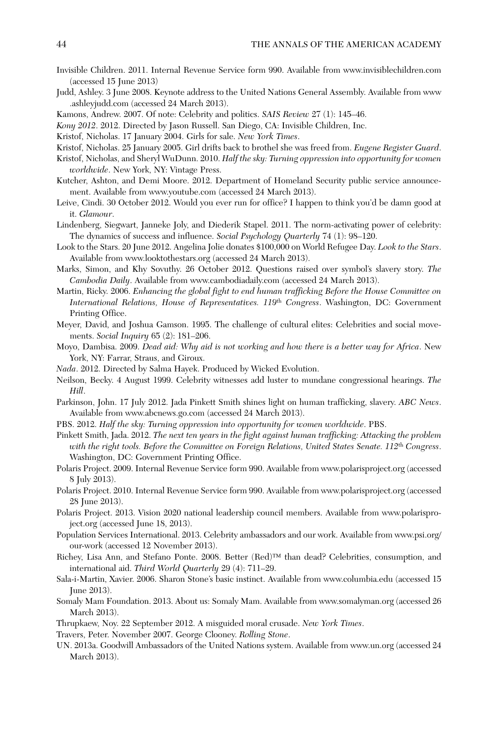- Invisible Children. 2011. Internal Revenue Service form 990. Available from <www.invisiblechildren.com> (accessed 15 June 2013)
- Judd, Ashley. 3 June 2008. Keynote address to the United Nations General Assembly. Available from [www](www.ashleyjudd.com) [.ashleyjudd.com](www.ashleyjudd.com) (accessed 24 March 2013).
- Kamons, Andrew. 2007. Of note: Celebrity and politics. *SAIS Review* 27 (1): 145–46.
- *Kony 2012*. 2012. Directed by Jason Russell. San Diego, CA: Invisible Children, Inc.
- Kristof, Nicholas. 17 January 2004. Girls for sale. *New York Times*.
- Kristof, Nicholas. 25 January 2005. Girl drifts back to brothel she was freed from. *Eugene Register Guard*.
- Kristof, Nicholas, and Sheryl WuDunn. 2010. *Half the sky: Turning oppression into opportunity for women worldwide*. New York, NY: Vintage Press.
- Kutcher, Ashton, and Demi Moore. 2012. Department of Homeland Security public service announcement. Available from <www.youtube.com> (accessed 24 March 2013).
- Leive, Cindi. 30 October 2012. Would you ever run for office? I happen to think you'd be damn good at it. *Glamour*.
- Lindenberg, Siegwart, Janneke Joly, and Diederik Stapel. 2011. The norm-activating power of celebrity: The dynamics of success and influence. *Social Psychology Quarterly* 74 (1): 98–120.
- Look to the Stars. 20 June 2012. Angelina Jolie donates \$100,000 on World Refugee Day. *Look to the Stars*. Available from<www.looktothestars.org> (accessed 24 March 2013).
- Marks, Simon, and Khy Sovuthy. 26 October 2012. Questions raised over symbol's slavery story. *The Cambodia Daily*. Available from <www.cambodiadaily.com>(accessed 24 March 2013).
- Martin, Ricky. 2006. *Enhancing the global fight to end human trafficking Before the House Committee on International Relations, House of Representatives. 119*th *Congress*. Washington, DC: Government Printing Office.
- Meyer, David, and Joshua Gamson. 1995. The challenge of cultural elites: Celebrities and social movements. *Social Inquiry* 65 (2): 181–206.
- Moyo, Dambisa. 2009. *Dead aid: Why aid is not working and how there is a better way for Africa*. New York, NY: Farrar, Straus, and Giroux.
- *Nada*. 2012. Directed by Salma Hayek. Produced by Wicked Evolution.
- Neilson, Becky. 4 August 1999. Celebrity witnesses add luster to mundane congressional hearings. *The Hill*.
- Parkinson, John. 17 July 2012. Jada Pinkett Smith shines light on human trafficking, slavery. *ABC News*. Available from<www.abcnews.go.com> (accessed 24 March 2013).
- PBS. 2012. *Half the sky: Turning oppression into opportunity for women worldwide*. PBS.
- Pinkett Smith, Jada. 2012. *The next ten years in the fight against human trafficking: Attacking the problem with the right tools. Before the Committee on Foreign Relations, United States Senate. 112*th *Congress*. Washington, DC: Government Printing Office.
- Polaris Project. 2009. Internal Revenue Service form 990. Available from<www.polarisproject.org> (accessed 8 July 2013).
- Polaris Project. 2010. Internal Revenue Service form 990. Available from<www.polarisproject.org> (accessed 28 June 2013).
- Polaris Project. 2013. Vision 2020 national leadership council members. Available from [www.polarispro](www.polarisproject.org)[ject.org](www.polarisproject.org) (accessed June 18, 2013).
- Population Services International. 2013. Celebrity ambassadors and our work. Available from [www.psi.org/](www.psi.org/our-work) [our-work](www.psi.org/our-work) (accessed 12 November 2013).
- Richey, Lisa Ann, and Stefano Ponte. 2008. Better (Red)™ than dead? Celebrities, consumption, and international aid. *Third World Quarterly* 29 (4): 711–29.
- Sala-i-Martin, Xavier. 2006. Sharon Stone's basic instinct. Available from <www.columbia.edu> (accessed 15 June 2013).
- Somaly Mam Foundation. 2013. About us: Somaly Mam. Available from<www.somalyman.org> (accessed 26 March 2013).
- Thrupkaew, Noy. 22 September 2012. A misguided moral crusade. *New York Times*.
- Travers, Peter. November 2007. George Clooney. *Rolling Stone*.
- UN. 2013a. Goodwill Ambassadors of the United Nations system. Available from <www.un.org> (accessed 24 March 2013).